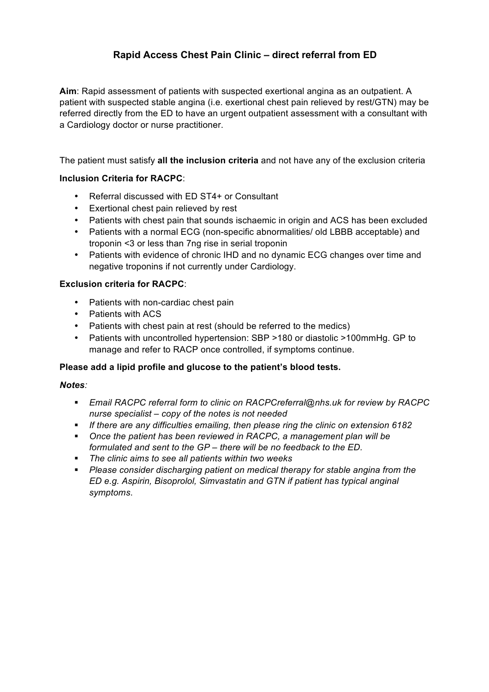# **Rapid Access Chest Pain Clinic – direct referral from ED**

**Aim**: Rapid assessment of patients with suspected exertional angina as an outpatient. A patient with suspected stable angina (i.e. exertional chest pain relieved by rest/GTN) may be referred directly from the ED to have an urgent outpatient assessment with a consultant with a Cardiology doctor or nurse practitioner.

The patient must satisfy **all the inclusion criteria** and not have any of the exclusion criteria

## **Inclusion Criteria for RACPC**:

- Referral discussed with ED ST4+ or Consultant
- Exertional chest pain relieved by rest
- Patients with chest pain that sounds ischaemic in origin and ACS has been excluded
- Patients with a normal ECG (non-specific abnormalities/ old LBBB acceptable) and troponin <3 or less than 7ng rise in serial troponin
- Patients with evidence of chronic IHD and no dynamic ECG changes over time and negative troponins if not currently under Cardiology.

## **Exclusion criteria for RACPC**:

- Patients with non-cardiac chest pain
- Patients with ACS
- Patients with chest pain at rest (should be referred to the medics)
- Patients with uncontrolled hypertension: SBP >180 or diastolic >100mmHg. GP to manage and refer to RACP once controlled, if symptoms continue.

#### **Please add a lipid profile and glucose to the patient's blood tests.**

#### *Notes:*

- § *Email RACPC referral form to clinic on RACPCreferral@nhs.uk for review by RACPC nurse specialist – copy of the notes is not needed*
- § *If there are any difficulties emailing, then please ring the clinic on extension 6182*
- § *Once the patient has been reviewed in RACPC, a management plan will be formulated and sent to the GP – there will be no feedback to the ED.*
- § *The clinic aims to see all patients within two weeks*
- § *Please consider discharging patient on medical therapy for stable angina from the ED e.g. Aspirin, Bisoprolol, Simvastatin and GTN if patient has typical anginal symptoms*.